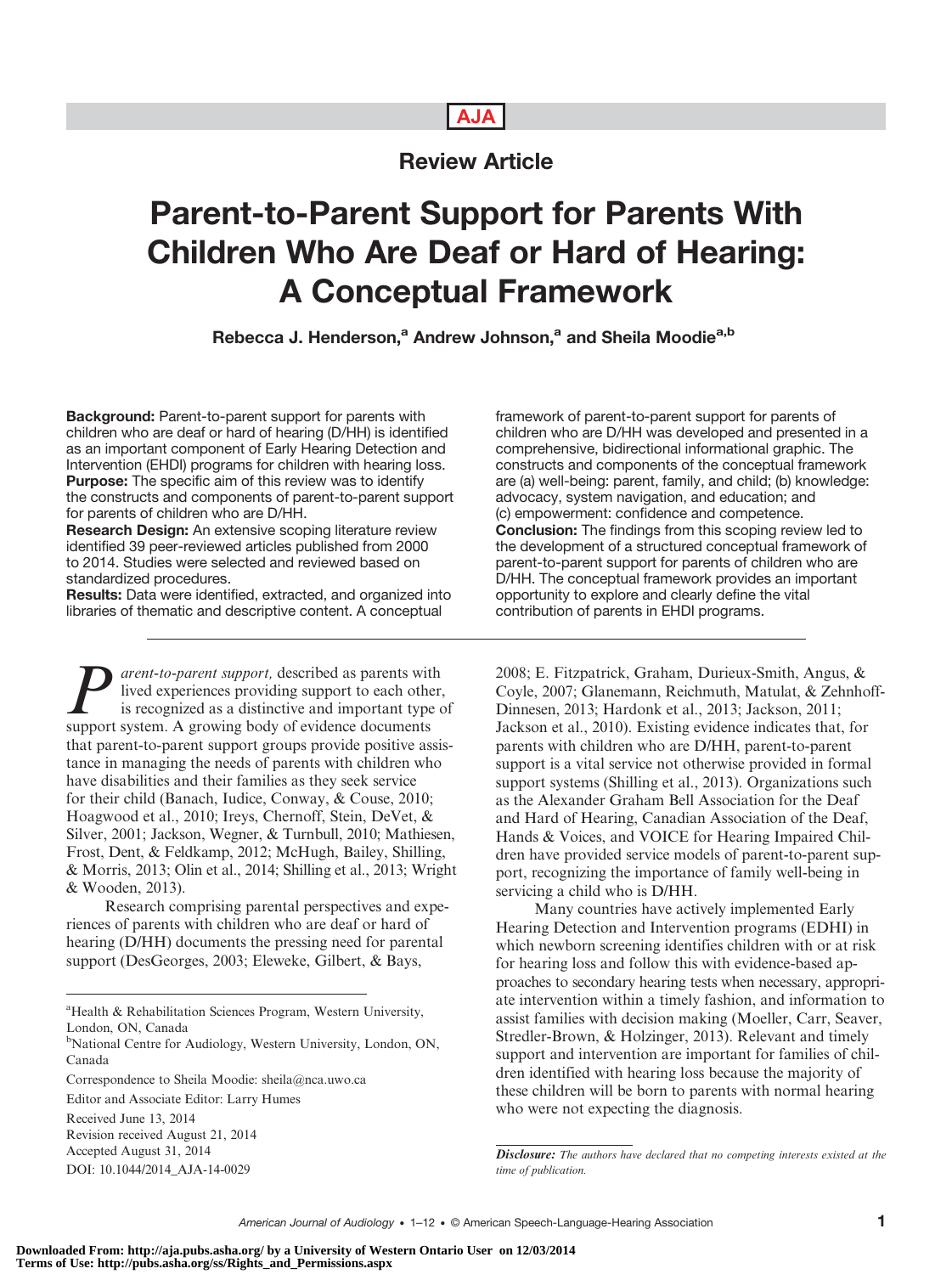## AJA

# Review Article

# Parent-to-Parent Support for Parents With Children Who Are Deaf or Hard of Hearing: A Conceptual Framework

Rebecca J. Henderson,<sup>a</sup> Andrew Johnson,<sup>a</sup> and Sheila Moodie<sup>a,b</sup>

Background: Parent-to-parent support for parents with children who are deaf or hard of hearing (D/HH) is identified as an important component of Early Hearing Detection and Intervention (EHDI) programs for children with hearing loss. Purpose: The specific aim of this review was to identify the constructs and components of parent-to-parent support for parents of children who are D/HH.

Research Design: An extensive scoping literature review identified 39 peer-reviewed articles published from 2000 to 2014. Studies were selected and reviewed based on standardized procedures.

Results: Data were identified, extracted, and organized into libraries of thematic and descriptive content. A conceptual

**P** arent-to-parent support, described as parents with<br>is recognized as a distinctive and important type of<br>support system. A growing body of evidence documents lived experiences providing support to each other, support system. A growing body of evidence documents that parent-to-parent support groups provide positive assistance in managing the needs of parents with children who have disabilities and their families as they seek service for their child (Banach, Iudice, Conway, & Couse, 2010; Hoagwood et al., 2010; Ireys, Chernoff, Stein, DeVet, & Silver, 2001; Jackson, Wegner, & Turnbull, 2010; Mathiesen, Frost, Dent, & Feldkamp, 2012; McHugh, Bailey, Shilling, & Morris, 2013; Olin et al., 2014; Shilling et al., 2013; Wright & Wooden, 2013).

Research comprising parental perspectives and experiences of parents with children who are deaf or hard of hearing (D/HH) documents the pressing need for parental support (DesGeorges, 2003; Eleweke, Gilbert, & Bays,

framework of parent-to-parent support for parents of children who are D/HH was developed and presented in a comprehensive, bidirectional informational graphic. The constructs and components of the conceptual framework are (a) well-being: parent, family, and child; (b) knowledge: advocacy, system navigation, and education; and (c) empowerment: confidence and competence. Conclusion: The findings from this scoping review led to the development of a structured conceptual framework of parent-to-parent support for parents of children who are D/HH. The conceptual framework provides an important opportunity to explore and clearly define the vital contribution of parents in EHDI programs.

2008; E. Fitzpatrick, Graham, Durieux-Smith, Angus, & Coyle, 2007; Glanemann, Reichmuth, Matulat, & Zehnhoff-Dinnesen, 2013; Hardonk et al., 2013; Jackson, 2011; Jackson et al., 2010). Existing evidence indicates that, for parents with children who are D/HH, parent-to-parent support is a vital service not otherwise provided in formal support systems (Shilling et al., 2013). Organizations such as the Alexander Graham Bell Association for the Deaf and Hard of Hearing, Canadian Association of the Deaf, Hands & Voices, and VOICE for Hearing Impaired Children have provided service models of parent-to-parent support, recognizing the importance of family well-being in servicing a child who is D/HH.

Many countries have actively implemented Early Hearing Detection and Intervention programs (EDHI) in which newborn screening identifies children with or at risk for hearing loss and follow this with evidence-based approaches to secondary hearing tests when necessary, appropriate intervention within a timely fashion, and information to assist families with decision making (Moeller, Carr, Seaver, Stredler-Brown, & Holzinger, 2013). Relevant and timely support and intervention are important for families of children identified with hearing loss because the majority of these children will be born to parents with normal hearing who were not expecting the diagnosis.

<sup>&</sup>lt;sup>a</sup> Health & Rehabilitation Sciences Program, Western University, London, ON, Canada

<sup>&</sup>lt;sup>b</sup>National Centre for Audiology, Western University, London, ON, Canada

Correspondence to Sheila Moodie: sheila@nca.uwo.ca

Editor and Associate Editor: Larry Humes

Received June 13, 2014

Revision received August 21, 2014 Accepted August 31, 2014

DOI: 10.1044/2014\_AJA-14-0029

Disclosure: The authors have declared that no competing interests existed at the time of publication.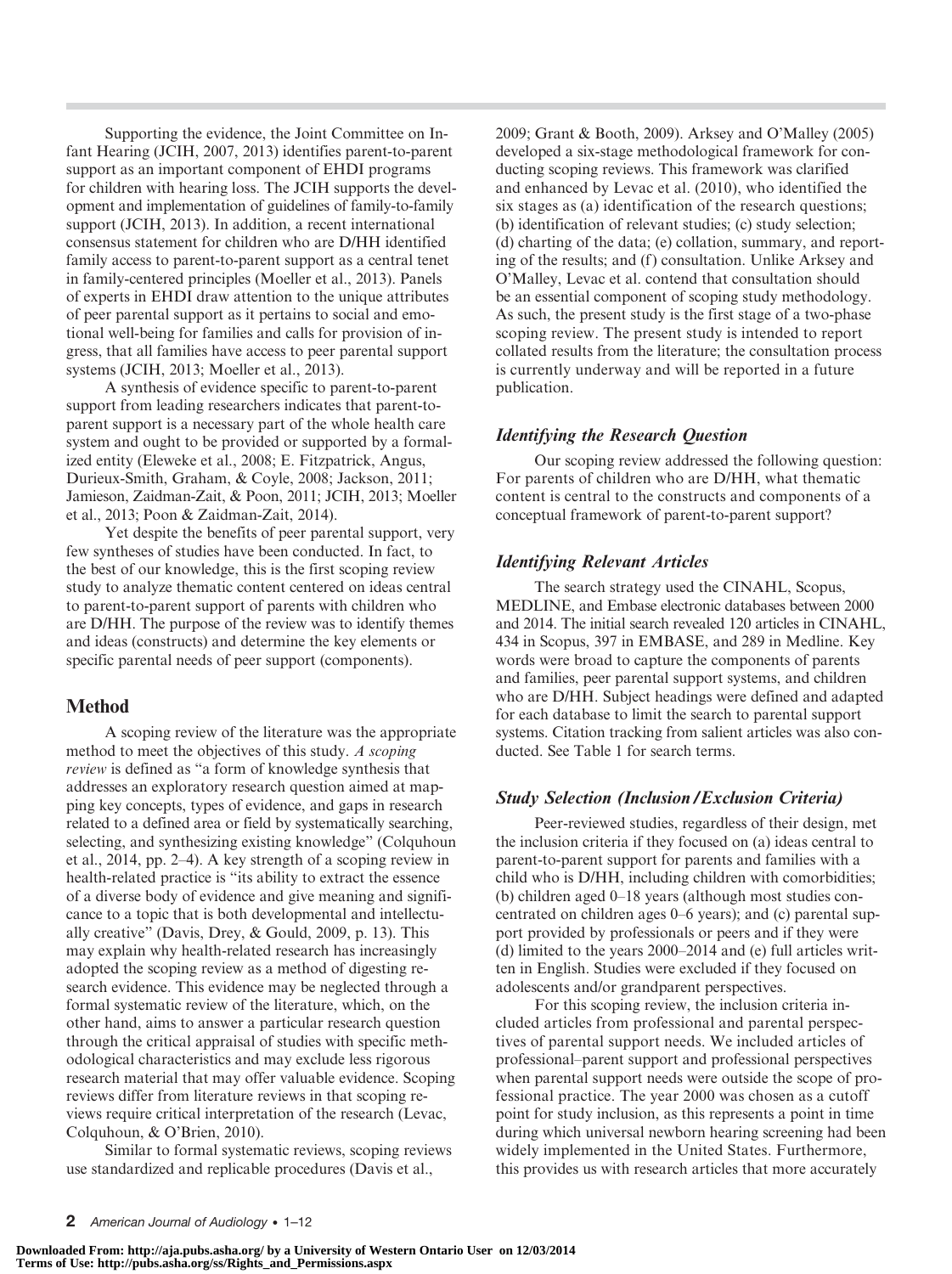Supporting the evidence, the Joint Committee on Infant Hearing (JCIH, 2007, 2013) identifies parent-to-parent support as an important component of EHDI programs for children with hearing loss. The JCIH supports the development and implementation of guidelines of family-to-family support (JCIH, 2013). In addition, a recent international consensus statement for children who are D/HH identified family access to parent-to-parent support as a central tenet in family-centered principles (Moeller et al., 2013). Panels of experts in EHDI draw attention to the unique attributes of peer parental support as it pertains to social and emotional well-being for families and calls for provision of ingress, that all families have access to peer parental support systems (JCIH, 2013; Moeller et al., 2013).

A synthesis of evidence specific to parent-to-parent support from leading researchers indicates that parent-toparent support is a necessary part of the whole health care system and ought to be provided or supported by a formalized entity (Eleweke et al., 2008; E. Fitzpatrick, Angus, Durieux-Smith, Graham, & Coyle, 2008; Jackson, 2011; Jamieson, Zaidman-Zait, & Poon, 2011; JCIH, 2013; Moeller et al., 2013; Poon & Zaidman-Zait, 2014).

Yet despite the benefits of peer parental support, very few syntheses of studies have been conducted. In fact, to the best of our knowledge, this is the first scoping review study to analyze thematic content centered on ideas central to parent-to-parent support of parents with children who are D/HH. The purpose of the review was to identify themes and ideas (constructs) and determine the key elements or specific parental needs of peer support (components).

## Method

A scoping review of the literature was the appropriate method to meet the objectives of this study. A scoping review is defined as "a form of knowledge synthesis that addresses an exploratory research question aimed at mapping key concepts, types of evidence, and gaps in research related to a defined area or field by systematically searching, selecting, and synthesizing existing knowledge" (Colquhoun et al., 2014, pp. 2–4). A key strength of a scoping review in health-related practice is "its ability to extract the essence of a diverse body of evidence and give meaning and significance to a topic that is both developmental and intellectually creative" (Davis, Drey, & Gould, 2009, p. 13). This may explain why health-related research has increasingly adopted the scoping review as a method of digesting research evidence. This evidence may be neglected through a formal systematic review of the literature, which, on the other hand, aims to answer a particular research question through the critical appraisal of studies with specific methodological characteristics and may exclude less rigorous research material that may offer valuable evidence. Scoping reviews differ from literature reviews in that scoping reviews require critical interpretation of the research (Levac, Colquhoun, & O'Brien, 2010).

Similar to formal systematic reviews, scoping reviews use standardized and replicable procedures (Davis et al.,

2009; Grant & Booth, 2009). Arksey and O'Malley (2005) developed a six-stage methodological framework for conducting scoping reviews. This framework was clarified and enhanced by Levac et al. (2010), who identified the six stages as (a) identification of the research questions; (b) identification of relevant studies; (c) study selection; (d) charting of the data; (e) collation, summary, and reporting of the results; and (f) consultation. Unlike Arksey and O'Malley, Levac et al. contend that consultation should be an essential component of scoping study methodology. As such, the present study is the first stage of a two-phase scoping review. The present study is intended to report collated results from the literature; the consultation process is currently underway and will be reported in a future publication.

## Identifying the Research Question

Our scoping review addressed the following question: For parents of children who are D/HH, what thematic content is central to the constructs and components of a conceptual framework of parent-to-parent support?

## Identifying Relevant Articles

The search strategy used the CINAHL, Scopus, MEDLINE, and Embase electronic databases between 2000 and 2014. The initial search revealed 120 articles in CINAHL, 434 in Scopus, 397 in EMBASE, and 289 in Medline. Key words were broad to capture the components of parents and families, peer parental support systems, and children who are D/HH. Subject headings were defined and adapted for each database to limit the search to parental support systems. Citation tracking from salient articles was also conducted. See Table 1 for search terms.

## Study Selection (Inclusion/Exclusion Criteria)

Peer-reviewed studies, regardless of their design, met the inclusion criteria if they focused on (a) ideas central to parent-to-parent support for parents and families with a child who is D/HH, including children with comorbidities; (b) children aged 0–18 years (although most studies concentrated on children ages 0–6 years); and (c) parental support provided by professionals or peers and if they were (d) limited to the years 2000–2014 and (e) full articles written in English. Studies were excluded if they focused on adolescents and/or grandparent perspectives.

For this scoping review, the inclusion criteria included articles from professional and parental perspectives of parental support needs. We included articles of professional–parent support and professional perspectives when parental support needs were outside the scope of professional practice. The year 2000 was chosen as a cutoff point for study inclusion, as this represents a point in time during which universal newborn hearing screening had been widely implemented in the United States. Furthermore, this provides us with research articles that more accurately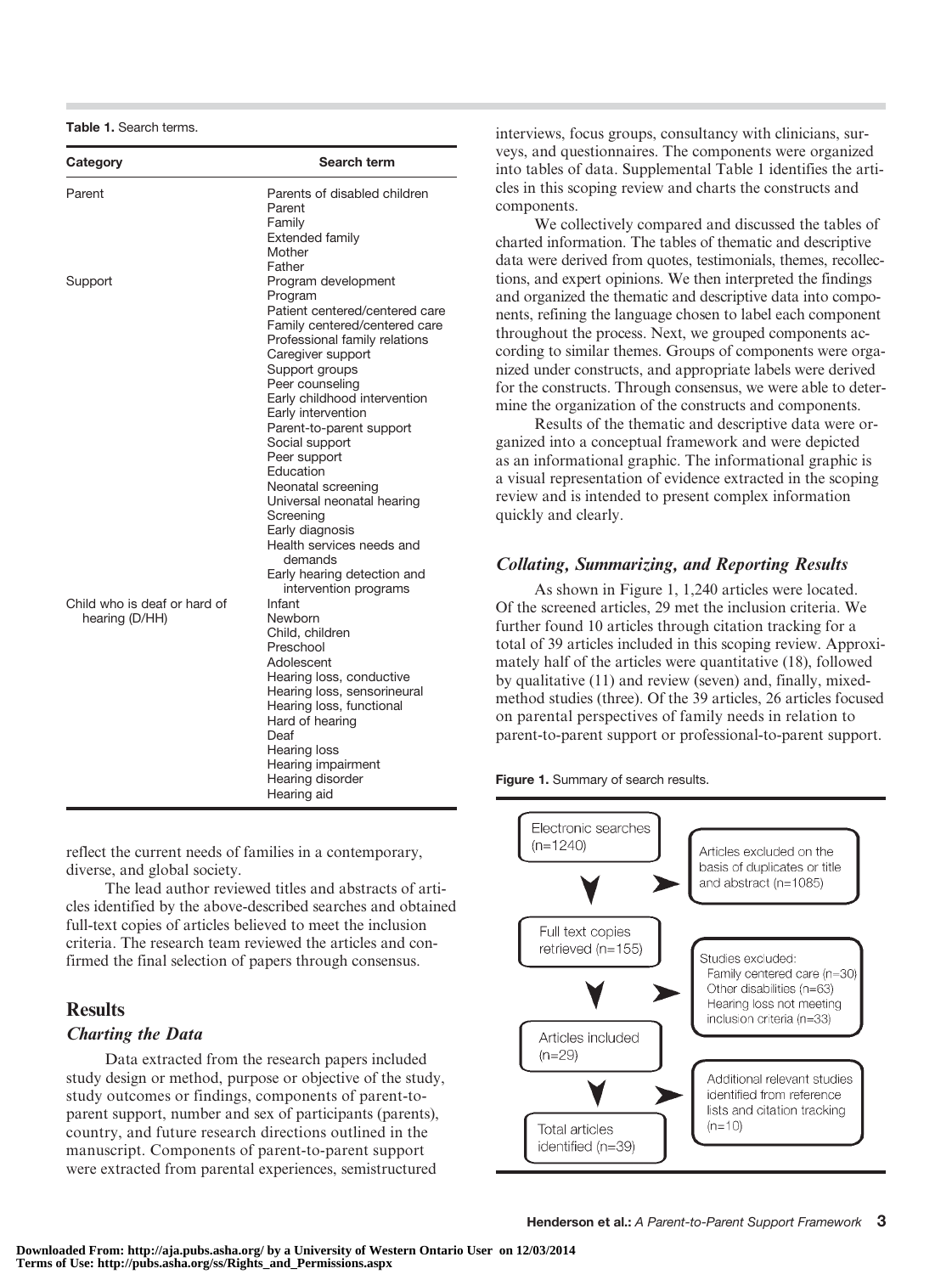|  |  | Table 1. Search terms. |  |
|--|--|------------------------|--|
|--|--|------------------------|--|

| Category                                       | Search term                                                                                                                                                                                                                                                                                                                                                                                                                                                                              |
|------------------------------------------------|------------------------------------------------------------------------------------------------------------------------------------------------------------------------------------------------------------------------------------------------------------------------------------------------------------------------------------------------------------------------------------------------------------------------------------------------------------------------------------------|
| Parent                                         | Parents of disabled children<br>Parent<br>Family<br><b>Extended family</b><br>Mother<br>Father                                                                                                                                                                                                                                                                                                                                                                                           |
| Support                                        | Program development<br>Program<br>Patient centered/centered care<br>Family centered/centered care<br>Professional family relations<br>Caregiver support<br>Support groups<br>Peer counseling<br>Early childhood intervention<br>Early intervention<br>Parent-to-parent support<br>Social support<br>Peer support<br>Education<br>Neonatal screening<br>Universal neonatal hearing<br>Screening<br>Early diagnosis<br>Health services needs and<br>demands<br>Early hearing detection and |
| Child who is deaf or hard of<br>hearing (D/HH) | intervention programs<br>Infant<br>Newborn<br>Child, children<br>Preschool<br>Adolescent<br>Hearing loss, conductive<br>Hearing loss, sensorineural<br>Hearing loss, functional<br>Hard of hearing<br>Deaf<br>Hearing loss<br>Hearing impairment<br>Hearing disorder<br>Hearing aid                                                                                                                                                                                                      |

reflect the current needs of families in a contemporary, diverse, and global society.

The lead author reviewed titles and abstracts of articles identified by the above-described searches and obtained full-text copies of articles believed to meet the inclusion criteria. The research team reviewed the articles and confirmed the final selection of papers through consensus.

## **Results**

#### Charting the Data

Data extracted from the research papers included study design or method, purpose or objective of the study, study outcomes or findings, components of parent-toparent support, number and sex of participants (parents), country, and future research directions outlined in the manuscript. Components of parent-to-parent support were extracted from parental experiences, semistructured

interviews, focus groups, consultancy with clinicians, surveys, and questionnaires. The components were organized into tables of data. Supplemental Table 1 identifies the articles in this scoping review and charts the constructs and components.

We collectively compared and discussed the tables of charted information. The tables of thematic and descriptive data were derived from quotes, testimonials, themes, recollections, and expert opinions. We then interpreted the findings and organized the thematic and descriptive data into components, refining the language chosen to label each component throughout the process. Next, we grouped components according to similar themes. Groups of components were organized under constructs, and appropriate labels were derived for the constructs. Through consensus, we were able to determine the organization of the constructs and components.

Results of the thematic and descriptive data were organized into a conceptual framework and were depicted as an informational graphic. The informational graphic is a visual representation of evidence extracted in the scoping review and is intended to present complex information quickly and clearly.

## Collating, Summarizing, and Reporting Results

As shown in Figure 1, 1,240 articles were located. Of the screened articles, 29 met the inclusion criteria. We further found 10 articles through citation tracking for a total of 39 articles included in this scoping review. Approximately half of the articles were quantitative (18), followed by qualitative (11) and review (seven) and, finally, mixedmethod studies (three). Of the 39 articles, 26 articles focused on parental perspectives of family needs in relation to parent-to-parent support or professional-to-parent support.

Figure 1. Summary of search results.

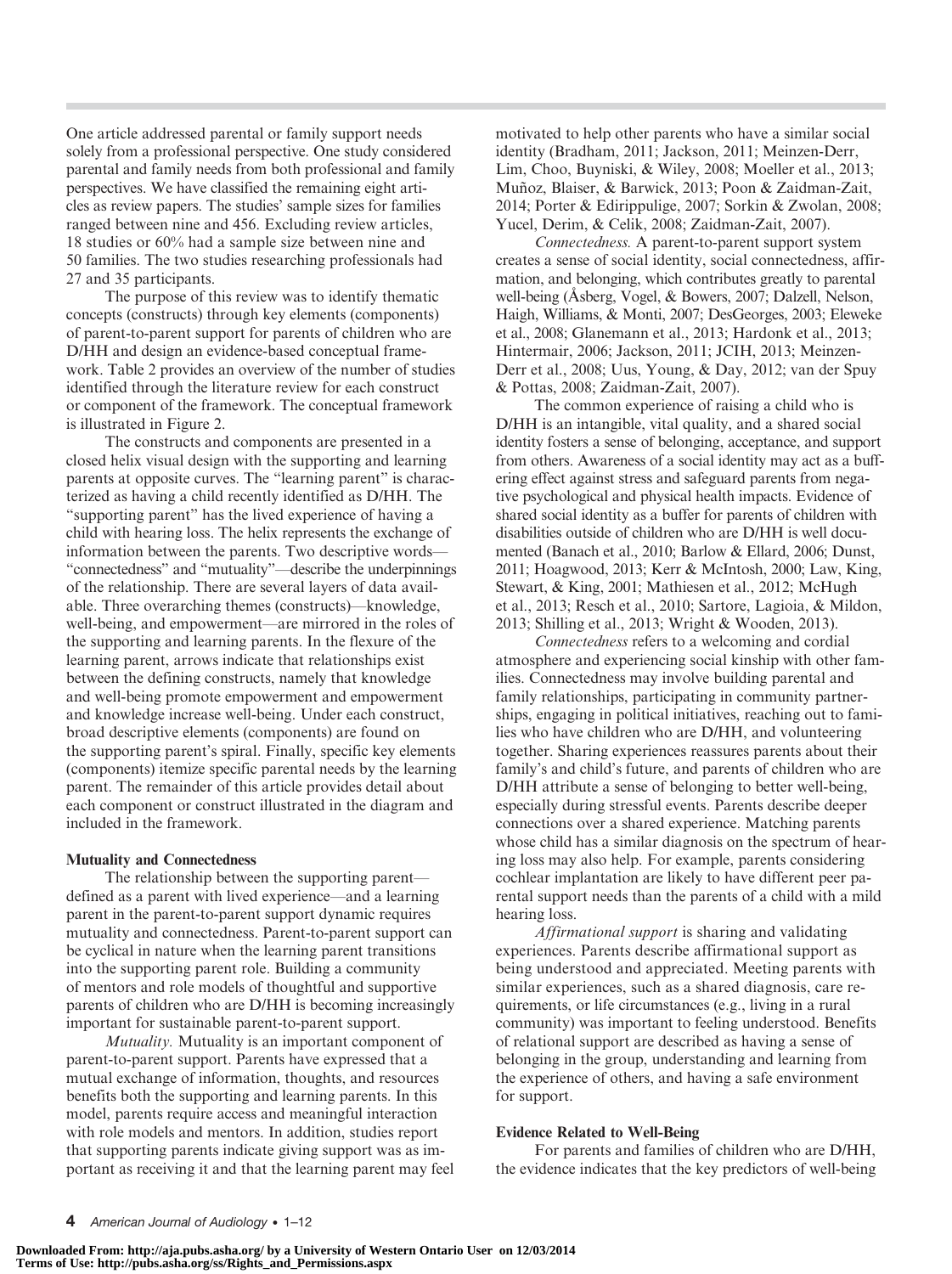One article addressed parental or family support needs solely from a professional perspective. One study considered parental and family needs from both professional and family perspectives. We have classified the remaining eight articles as review papers. The studies' sample sizes for families ranged between nine and 456. Excluding review articles, 18 studies or 60% had a sample size between nine and 50 families. The two studies researching professionals had 27 and 35 participants.

The purpose of this review was to identify thematic concepts (constructs) through key elements (components) of parent-to-parent support for parents of children who are D/HH and design an evidence-based conceptual framework. Table 2 provides an overview of the number of studies identified through the literature review for each construct or component of the framework. The conceptual framework is illustrated in Figure 2.

The constructs and components are presented in a closed helix visual design with the supporting and learning parents at opposite curves. The "learning parent" is characterized as having a child recently identified as D/HH. The "supporting parent" has the lived experience of having a child with hearing loss. The helix represents the exchange of information between the parents. Two descriptive words— "connectedness" and "mutuality"—describe the underpinnings of the relationship. There are several layers of data available. Three overarching themes (constructs)—knowledge, well-being, and empowerment—are mirrored in the roles of the supporting and learning parents. In the flexure of the learning parent, arrows indicate that relationships exist between the defining constructs, namely that knowledge and well-being promote empowerment and empowerment and knowledge increase well-being. Under each construct, broad descriptive elements (components) are found on the supporting parent's spiral. Finally, specific key elements (components) itemize specific parental needs by the learning parent. The remainder of this article provides detail about each component or construct illustrated in the diagram and included in the framework.

#### Mutuality and Connectedness

The relationship between the supporting parent defined as a parent with lived experience—and a learning parent in the parent-to-parent support dynamic requires mutuality and connectedness. Parent-to-parent support can be cyclical in nature when the learning parent transitions into the supporting parent role. Building a community of mentors and role models of thoughtful and supportive parents of children who are D/HH is becoming increasingly important for sustainable parent-to-parent support.

Mutuality. Mutuality is an important component of parent-to-parent support. Parents have expressed that a mutual exchange of information, thoughts, and resources benefits both the supporting and learning parents. In this model, parents require access and meaningful interaction with role models and mentors. In addition, studies report that supporting parents indicate giving support was as important as receiving it and that the learning parent may feel motivated to help other parents who have a similar social identity (Bradham, 2011; Jackson, 2011; Meinzen-Derr, Lim, Choo, Buyniski, & Wiley, 2008; Moeller et al., 2013; Muñoz, Blaiser, & Barwick, 2013; Poon & Zaidman-Zait, 2014; Porter & Edirippulige, 2007; Sorkin & Zwolan, 2008; Yucel, Derim, & Celik, 2008; Zaidman-Zait, 2007).

Connectedness. A parent-to-parent support system creates a sense of social identity, social connectedness, affirmation, and belonging, which contributes greatly to parental well-being (Åsberg, Vogel, & Bowers, 2007; Dalzell, Nelson, Haigh, Williams, & Monti, 2007; DesGeorges, 2003; Eleweke et al., 2008; Glanemann et al., 2013; Hardonk et al., 2013; Hintermair, 2006; Jackson, 2011; JCIH, 2013; Meinzen-Derr et al., 2008; Uus, Young, & Day, 2012; van der Spuy & Pottas, 2008; Zaidman-Zait, 2007).

The common experience of raising a child who is D/HH is an intangible, vital quality, and a shared social identity fosters a sense of belonging, acceptance, and support from others. Awareness of a social identity may act as a buffering effect against stress and safeguard parents from negative psychological and physical health impacts. Evidence of shared social identity as a buffer for parents of children with disabilities outside of children who are D/HH is well documented (Banach et al., 2010; Barlow & Ellard, 2006; Dunst, 2011; Hoagwood, 2013; Kerr & McIntosh, 2000; Law, King, Stewart, & King, 2001; Mathiesen et al., 2012; McHugh et al., 2013; Resch et al., 2010; Sartore, Lagioia, & Mildon, 2013; Shilling et al., 2013; Wright & Wooden, 2013).

Connectedness refers to a welcoming and cordial atmosphere and experiencing social kinship with other families. Connectedness may involve building parental and family relationships, participating in community partnerships, engaging in political initiatives, reaching out to families who have children who are D/HH, and volunteering together. Sharing experiences reassures parents about their family's and child's future, and parents of children who are D/HH attribute a sense of belonging to better well-being, especially during stressful events. Parents describe deeper connections over a shared experience. Matching parents whose child has a similar diagnosis on the spectrum of hearing loss may also help. For example, parents considering cochlear implantation are likely to have different peer parental support needs than the parents of a child with a mild hearing loss.

Affirmational support is sharing and validating experiences. Parents describe affirmational support as being understood and appreciated. Meeting parents with similar experiences, such as a shared diagnosis, care requirements, or life circumstances (e.g., living in a rural community) was important to feeling understood. Benefits of relational support are described as having a sense of belonging in the group, understanding and learning from the experience of others, and having a safe environment for support.

#### Evidence Related to Well-Being

For parents and families of children who are D/HH, the evidence indicates that the key predictors of well-being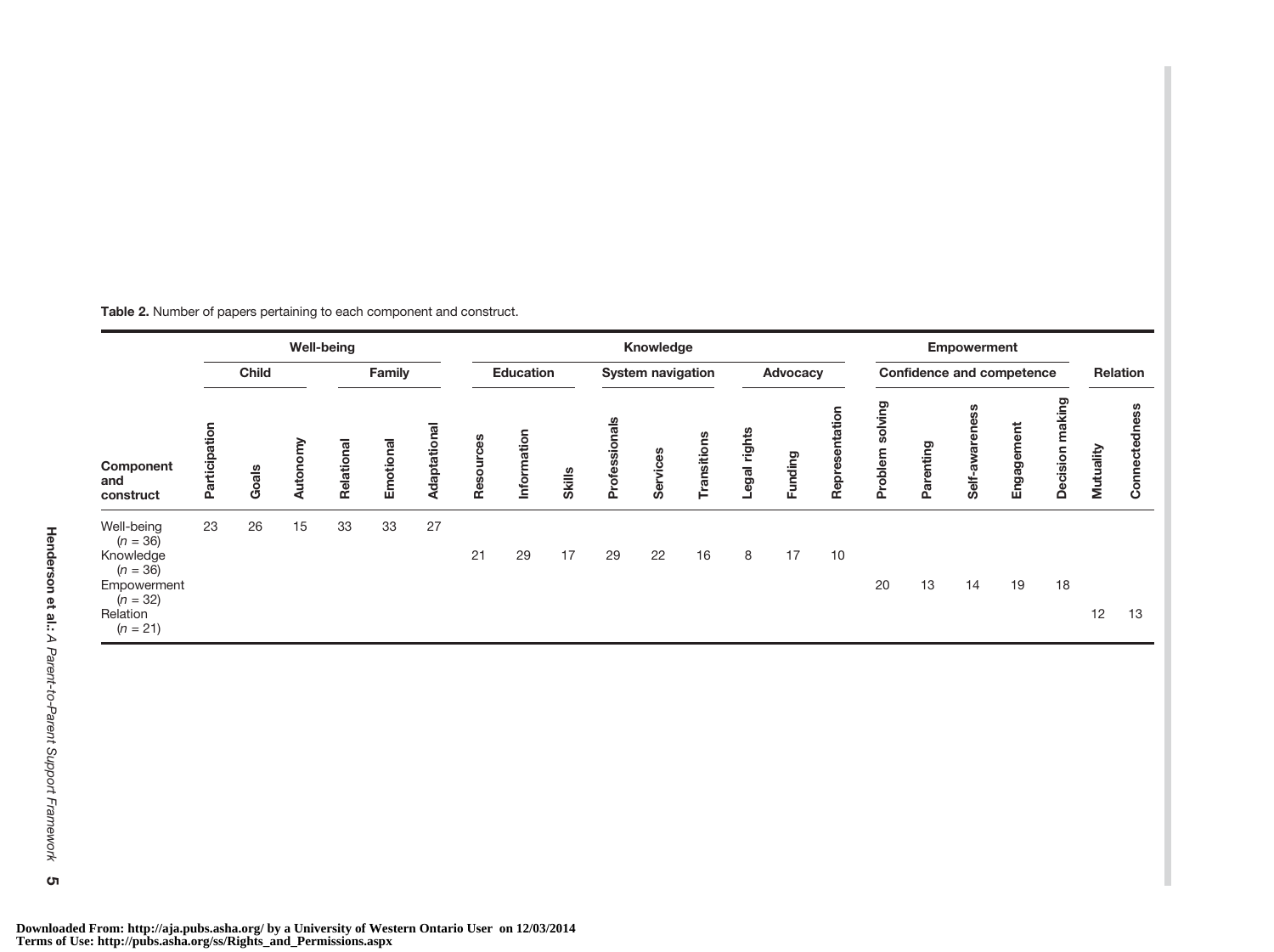|  |  | Table 2. Number of papers pertaining to each component and construct. |
|--|--|-----------------------------------------------------------------------|
|--|--|-----------------------------------------------------------------------|

|                                                                                                            | <b>Well-being</b> |       |       |            |           | Knowledge        |           |                          |               |               |          |                                  |             | <b>Empowerment</b> |                    |                  |           |                 |            |                           |           |                      |
|------------------------------------------------------------------------------------------------------------|-------------------|-------|-------|------------|-----------|------------------|-----------|--------------------------|---------------|---------------|----------|----------------------------------|-------------|--------------------|--------------------|------------------|-----------|-----------------|------------|---------------------------|-----------|----------------------|
|                                                                                                            | <b>Child</b>      |       |       | Family     |           | <b>Education</b> |           | <b>System navigation</b> |               | Advocacy      |          | <b>Confidence and competence</b> |             |                    |                    | Relation         |           |                 |            |                           |           |                      |
| Component<br>and<br>construct                                                                              | Participation     | Goals | Auton | Relational | Emotional | Adaptational     | Resources | Information              | <b>Skills</b> | Professionals | Services | Transitions                      | egal rights | Funding            | ntation<br>Represe | ဥ<br>Ō,<br>meldo | Parenting | SS<br>Self-awar | Engagement | making<br><b>Decision</b> | Mutuality | ess<br>등<br>Connecte |
| Well-being<br>$(n = 36)$<br>Knowledge<br>$(n = 36)$<br>Empowerment<br>$(n = 32)$<br>Relation<br>$(n = 21)$ | 23                | 26    | 15    | 33         | 33        | 27               | 21        | 29                       | 17            | 29            | 22       | 16                               | 8           | 17                 | 10                 | 20               | 13        | 14              | 19         | 18                        | 12        | 13                   |

**Downloaded From: http://aja.pubs.asha.org/ by a University of Western Ontario User on 12/03/2014 Terms of Use: http://pubs.asha.org/ss/Rights\_and\_Permissions.aspx**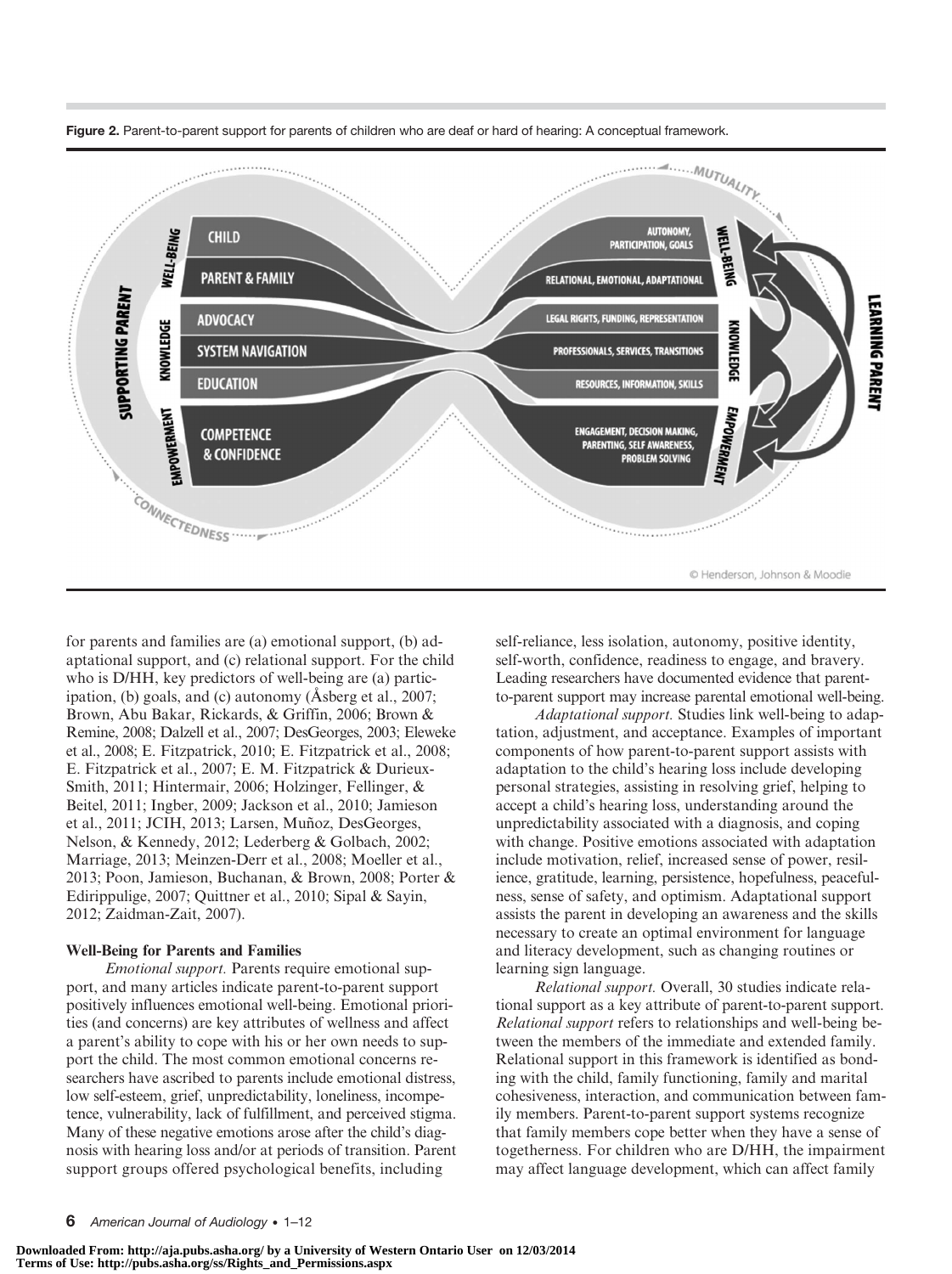

Figure 2. Parent-to-parent support for parents of children who are deaf or hard of hearing: A conceptual framework.

for parents and families are (a) emotional support, (b) adaptational support, and (c) relational support. For the child who is D/HH, key predictors of well-being are (a) participation, (b) goals, and (c) autonomy (Åsberg et al., 2007; Brown, Abu Bakar, Rickards, & Griffin, 2006; Brown & Remine, 2008; Dalzell et al., 2007; DesGeorges, 2003; Eleweke et al., 2008; E. Fitzpatrick, 2010; E. Fitzpatrick et al., 2008; E. Fitzpatrick et al., 2007; E. M. Fitzpatrick & Durieux-Smith, 2011; Hintermair, 2006; Holzinger, Fellinger, & Beitel, 2011; Ingber, 2009; Jackson et al., 2010; Jamieson et al., 2011; JCIH, 2013; Larsen, Muñoz, DesGeorges, Nelson, & Kennedy, 2012; Lederberg & Golbach, 2002; Marriage, 2013; Meinzen-Derr et al., 2008; Moeller et al., 2013; Poon, Jamieson, Buchanan, & Brown, 2008; Porter & Edirippulige, 2007; Quittner et al., 2010; Sipal & Sayin, 2012; Zaidman-Zait, 2007).

#### Well-Being for Parents and Families

Emotional support. Parents require emotional support, and many articles indicate parent-to-parent support positively influences emotional well-being. Emotional priorities (and concerns) are key attributes of wellness and affect a parent's ability to cope with his or her own needs to support the child. The most common emotional concerns researchers have ascribed to parents include emotional distress, low self-esteem, grief, unpredictability, loneliness, incompetence, vulnerability, lack of fulfillment, and perceived stigma. Many of these negative emotions arose after the child's diagnosis with hearing loss and/or at periods of transition. Parent support groups offered psychological benefits, including

self-reliance, less isolation, autonomy, positive identity, self-worth, confidence, readiness to engage, and bravery. Leading researchers have documented evidence that parentto-parent support may increase parental emotional well-being.

Adaptational support. Studies link well-being to adaptation, adjustment, and acceptance. Examples of important components of how parent-to-parent support assists with adaptation to the child's hearing loss include developing personal strategies, assisting in resolving grief, helping to accept a child's hearing loss, understanding around the unpredictability associated with a diagnosis, and coping with change. Positive emotions associated with adaptation include motivation, relief, increased sense of power, resilience, gratitude, learning, persistence, hopefulness, peacefulness, sense of safety, and optimism. Adaptational support assists the parent in developing an awareness and the skills necessary to create an optimal environment for language and literacy development, such as changing routines or learning sign language.

Relational support. Overall, 30 studies indicate relational support as a key attribute of parent-to-parent support. Relational support refers to relationships and well-being between the members of the immediate and extended family. Relational support in this framework is identified as bonding with the child, family functioning, family and marital cohesiveness, interaction, and communication between family members. Parent-to-parent support systems recognize that family members cope better when they have a sense of togetherness. For children who are D/HH, the impairment may affect language development, which can affect family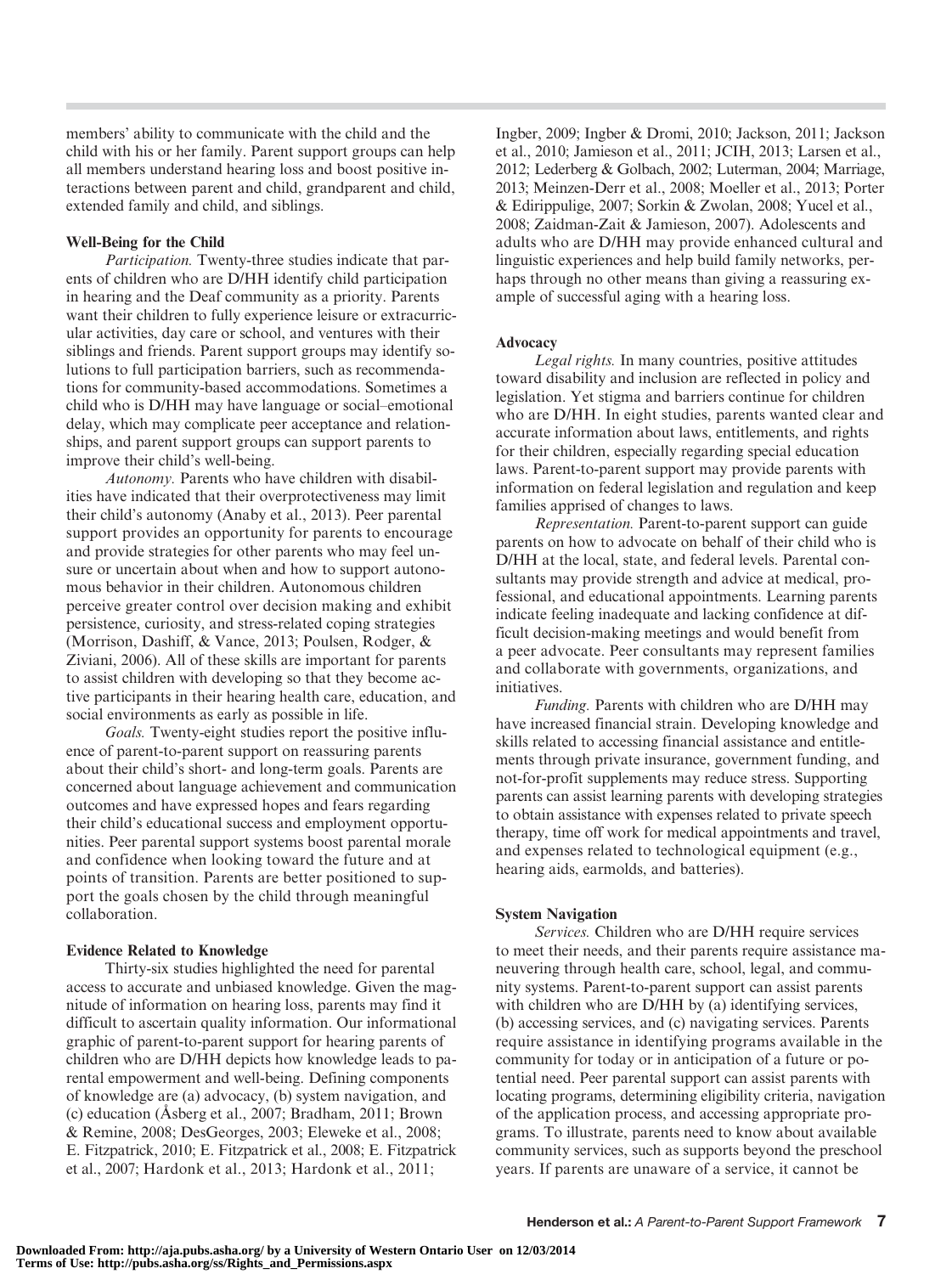members' ability to communicate with the child and the child with his or her family. Parent support groups can help all members understand hearing loss and boost positive interactions between parent and child, grandparent and child, extended family and child, and siblings.

#### Well-Being for the Child

Participation. Twenty-three studies indicate that parents of children who are D/HH identify child participation in hearing and the Deaf community as a priority. Parents want their children to fully experience leisure or extracurricular activities, day care or school, and ventures with their siblings and friends. Parent support groups may identify solutions to full participation barriers, such as recommendations for community-based accommodations. Sometimes a child who is D/HH may have language or social–emotional delay, which may complicate peer acceptance and relationships, and parent support groups can support parents to improve their child's well-being.

Autonomy. Parents who have children with disabilities have indicated that their overprotectiveness may limit their child's autonomy (Anaby et al., 2013). Peer parental support provides an opportunity for parents to encourage and provide strategies for other parents who may feel unsure or uncertain about when and how to support autonomous behavior in their children. Autonomous children perceive greater control over decision making and exhibit persistence, curiosity, and stress-related coping strategies (Morrison, Dashiff, & Vance, 2013; Poulsen, Rodger, & Ziviani, 2006). All of these skills are important for parents to assist children with developing so that they become active participants in their hearing health care, education, and social environments as early as possible in life.

Goals. Twenty-eight studies report the positive influence of parent-to-parent support on reassuring parents about their child's short- and long-term goals. Parents are concerned about language achievement and communication outcomes and have expressed hopes and fears regarding their child's educational success and employment opportunities. Peer parental support systems boost parental morale and confidence when looking toward the future and at points of transition. Parents are better positioned to support the goals chosen by the child through meaningful collaboration.

#### Evidence Related to Knowledge

Thirty-six studies highlighted the need for parental access to accurate and unbiased knowledge. Given the magnitude of information on hearing loss, parents may find it difficult to ascertain quality information. Our informational graphic of parent-to-parent support for hearing parents of children who are D/HH depicts how knowledge leads to parental empowerment and well-being. Defining components of knowledge are (a) advocacy, (b) system navigation, and (c) education (Åsberg et al., 2007; Bradham, 2011; Brown & Remine, 2008; DesGeorges, 2003; Eleweke et al., 2008; E. Fitzpatrick, 2010; E. Fitzpatrick et al., 2008; E. Fitzpatrick et al., 2007; Hardonk et al., 2013; Hardonk et al., 2011;

Ingber, 2009; Ingber & Dromi, 2010; Jackson, 2011; Jackson et al., 2010; Jamieson et al., 2011; JCIH, 2013; Larsen et al., 2012; Lederberg & Golbach, 2002; Luterman, 2004; Marriage, 2013; Meinzen-Derr et al., 2008; Moeller et al., 2013; Porter & Edirippulige, 2007; Sorkin & Zwolan, 2008; Yucel et al., 2008; Zaidman-Zait & Jamieson, 2007). Adolescents and adults who are D/HH may provide enhanced cultural and linguistic experiences and help build family networks, perhaps through no other means than giving a reassuring example of successful aging with a hearing loss.

#### Advocacy

Legal rights. In many countries, positive attitudes toward disability and inclusion are reflected in policy and legislation. Yet stigma and barriers continue for children who are D/HH. In eight studies, parents wanted clear and accurate information about laws, entitlements, and rights for their children, especially regarding special education laws. Parent-to-parent support may provide parents with information on federal legislation and regulation and keep families apprised of changes to laws.

Representation. Parent-to-parent support can guide parents on how to advocate on behalf of their child who is D/HH at the local, state, and federal levels. Parental consultants may provide strength and advice at medical, professional, and educational appointments. Learning parents indicate feeling inadequate and lacking confidence at difficult decision-making meetings and would benefit from a peer advocate. Peer consultants may represent families and collaborate with governments, organizations, and initiatives.

Funding. Parents with children who are D/HH may have increased financial strain. Developing knowledge and skills related to accessing financial assistance and entitlements through private insurance, government funding, and not-for-profit supplements may reduce stress. Supporting parents can assist learning parents with developing strategies to obtain assistance with expenses related to private speech therapy, time off work for medical appointments and travel, and expenses related to technological equipment (e.g., hearing aids, earmolds, and batteries).

#### System Navigation

Services. Children who are D/HH require services to meet their needs, and their parents require assistance maneuvering through health care, school, legal, and community systems. Parent-to-parent support can assist parents with children who are D/HH by (a) identifying services, (b) accessing services, and (c) navigating services. Parents require assistance in identifying programs available in the community for today or in anticipation of a future or potential need. Peer parental support can assist parents with locating programs, determining eligibility criteria, navigation of the application process, and accessing appropriate programs. To illustrate, parents need to know about available community services, such as supports beyond the preschool years. If parents are unaware of a service, it cannot be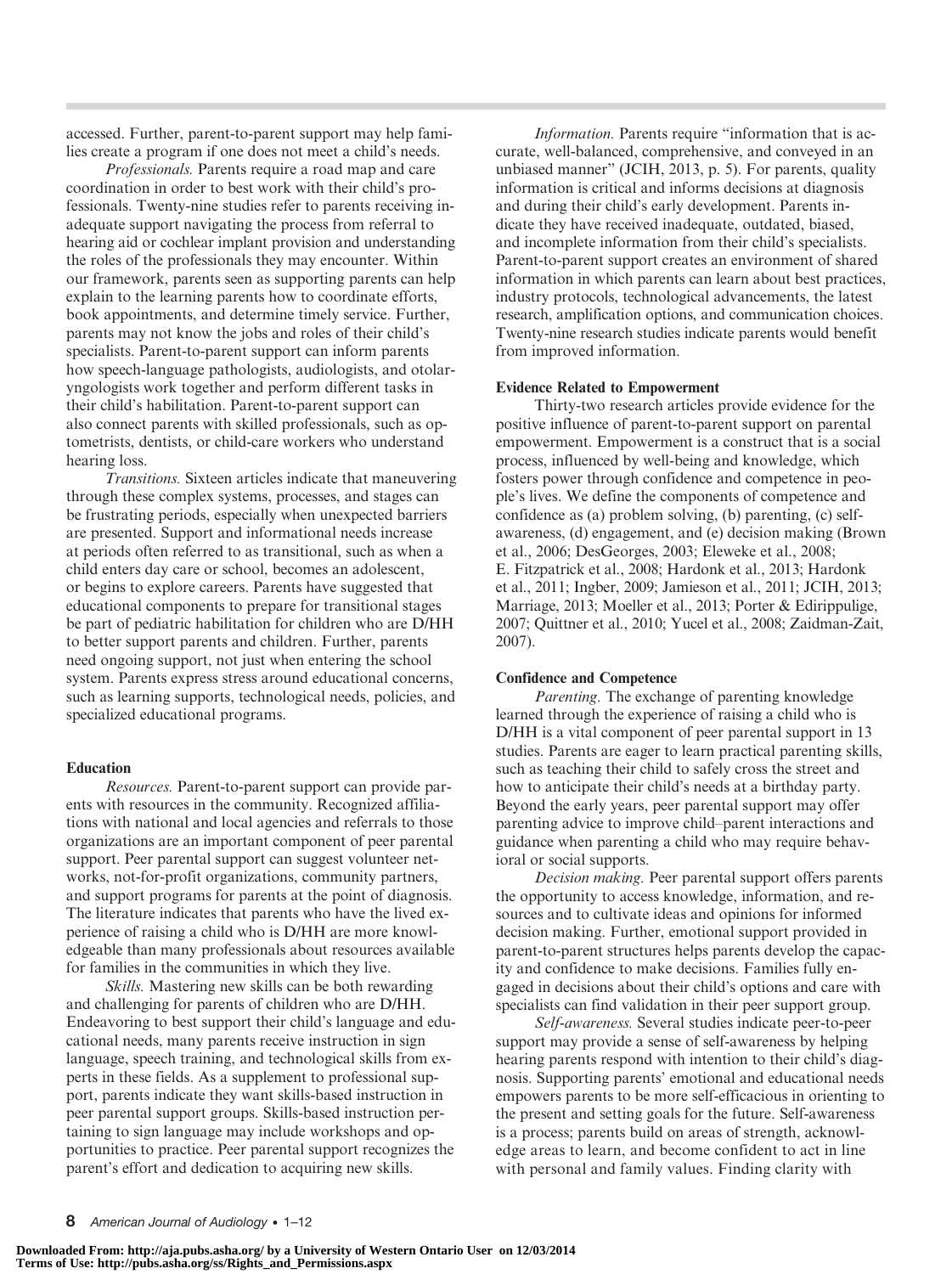accessed. Further, parent-to-parent support may help families create a program if one does not meet a child's needs.

Professionals. Parents require a road map and care coordination in order to best work with their child's professionals. Twenty-nine studies refer to parents receiving inadequate support navigating the process from referral to hearing aid or cochlear implant provision and understanding the roles of the professionals they may encounter. Within our framework, parents seen as supporting parents can help explain to the learning parents how to coordinate efforts, book appointments, and determine timely service. Further, parents may not know the jobs and roles of their child's specialists. Parent-to-parent support can inform parents how speech-language pathologists, audiologists, and otolaryngologists work together and perform different tasks in their child's habilitation. Parent-to-parent support can also connect parents with skilled professionals, such as optometrists, dentists, or child-care workers who understand hearing loss.

Transitions. Sixteen articles indicate that maneuvering through these complex systems, processes, and stages can be frustrating periods, especially when unexpected barriers are presented. Support and informational needs increase at periods often referred to as transitional, such as when a child enters day care or school, becomes an adolescent, or begins to explore careers. Parents have suggested that educational components to prepare for transitional stages be part of pediatric habilitation for children who are D/HH to better support parents and children. Further, parents need ongoing support, not just when entering the school system. Parents express stress around educational concerns, such as learning supports, technological needs, policies, and specialized educational programs.

#### Education

Resources. Parent-to-parent support can provide parents with resources in the community. Recognized affiliations with national and local agencies and referrals to those organizations are an important component of peer parental support. Peer parental support can suggest volunteer networks, not-for-profit organizations, community partners, and support programs for parents at the point of diagnosis. The literature indicates that parents who have the lived experience of raising a child who is D/HH are more knowledgeable than many professionals about resources available for families in the communities in which they live.

Skills. Mastering new skills can be both rewarding and challenging for parents of children who are D/HH. Endeavoring to best support their child's language and educational needs, many parents receive instruction in sign language, speech training, and technological skills from experts in these fields. As a supplement to professional support, parents indicate they want skills-based instruction in peer parental support groups. Skills-based instruction pertaining to sign language may include workshops and opportunities to practice. Peer parental support recognizes the parent's effort and dedication to acquiring new skills.

Information. Parents require "information that is accurate, well-balanced, comprehensive, and conveyed in an unbiased manner" (JCIH, 2013, p. 5). For parents, quality information is critical and informs decisions at diagnosis and during their child's early development. Parents indicate they have received inadequate, outdated, biased, and incomplete information from their child's specialists. Parent-to-parent support creates an environment of shared information in which parents can learn about best practices, industry protocols, technological advancements, the latest research, amplification options, and communication choices. Twenty-nine research studies indicate parents would benefit from improved information.

#### Evidence Related to Empowerment

Thirty-two research articles provide evidence for the positive influence of parent-to-parent support on parental empowerment. Empowerment is a construct that is a social process, influenced by well-being and knowledge, which fosters power through confidence and competence in people's lives. We define the components of competence and confidence as (a) problem solving, (b) parenting, (c) selfawareness, (d) engagement, and (e) decision making (Brown et al., 2006; DesGeorges, 2003; Eleweke et al., 2008; E. Fitzpatrick et al., 2008; Hardonk et al., 2013; Hardonk et al., 2011; Ingber, 2009; Jamieson et al., 2011; JCIH, 2013; Marriage, 2013; Moeller et al., 2013; Porter & Edirippulige, 2007; Quittner et al., 2010; Yucel et al., 2008; Zaidman-Zait, 2007).

#### Confidence and Competence

Parenting. The exchange of parenting knowledge learned through the experience of raising a child who is D/HH is a vital component of peer parental support in 13 studies. Parents are eager to learn practical parenting skills, such as teaching their child to safely cross the street and how to anticipate their child's needs at a birthday party. Beyond the early years, peer parental support may offer parenting advice to improve child–parent interactions and guidance when parenting a child who may require behavioral or social supports.

Decision making. Peer parental support offers parents the opportunity to access knowledge, information, and resources and to cultivate ideas and opinions for informed decision making. Further, emotional support provided in parent-to-parent structures helps parents develop the capacity and confidence to make decisions. Families fully engaged in decisions about their child's options and care with specialists can find validation in their peer support group.

Self-awareness. Several studies indicate peer-to-peer support may provide a sense of self-awareness by helping hearing parents respond with intention to their child's diagnosis. Supporting parents' emotional and educational needs empowers parents to be more self-efficacious in orienting to the present and setting goals for the future. Self-awareness is a process; parents build on areas of strength, acknowledge areas to learn, and become confident to act in line with personal and family values. Finding clarity with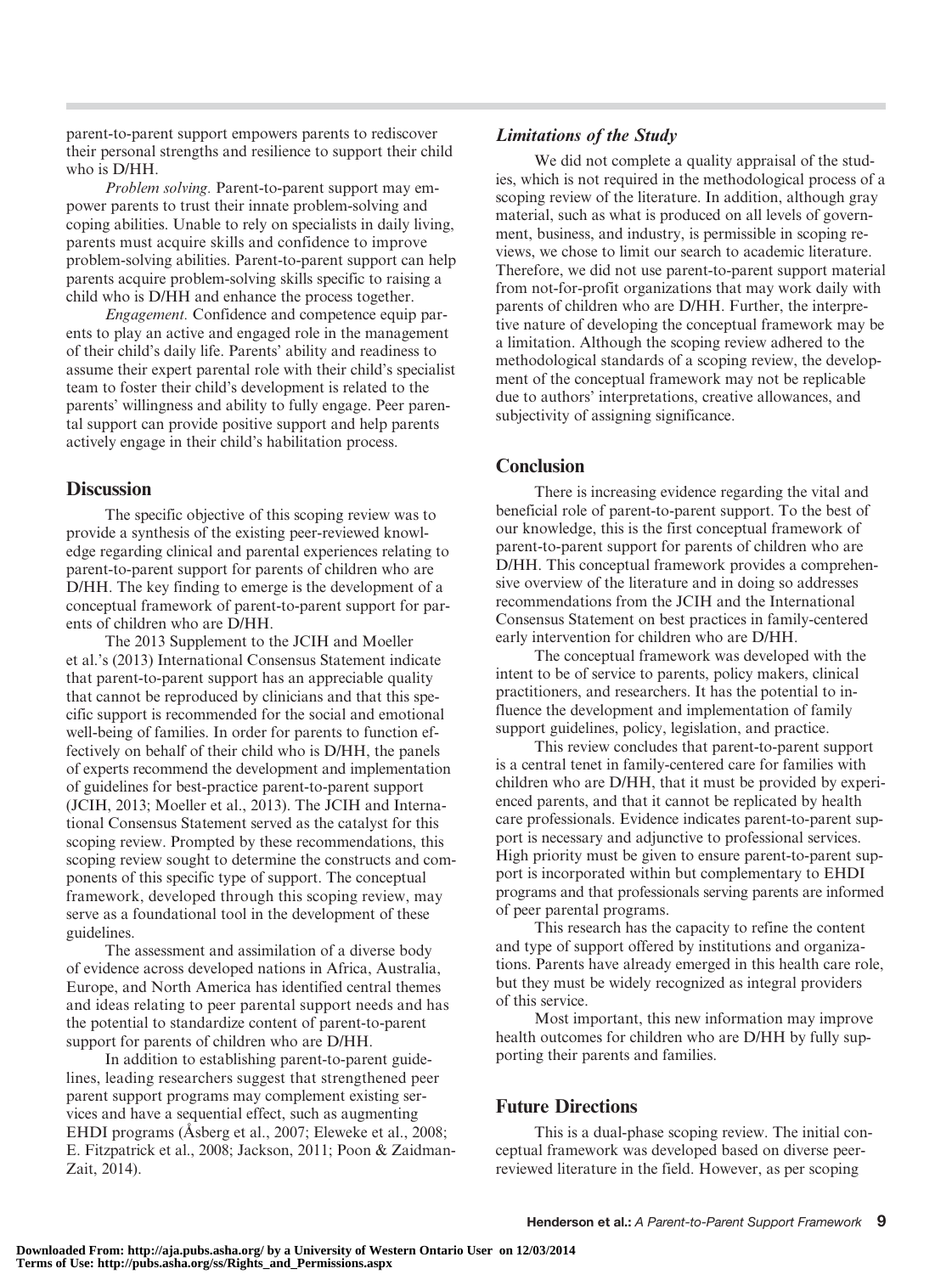parent-to-parent support empowers parents to rediscover their personal strengths and resilience to support their child who is D/HH.

Problem solving. Parent-to-parent support may empower parents to trust their innate problem-solving and coping abilities. Unable to rely on specialists in daily living, parents must acquire skills and confidence to improve problem-solving abilities. Parent-to-parent support can help parents acquire problem-solving skills specific to raising a child who is D/HH and enhance the process together.

Engagement. Confidence and competence equip parents to play an active and engaged role in the management of their child's daily life. Parents' ability and readiness to assume their expert parental role with their child's specialist team to foster their child's development is related to the parents' willingness and ability to fully engage. Peer parental support can provide positive support and help parents actively engage in their child's habilitation process.

## **Discussion**

The specific objective of this scoping review was to provide a synthesis of the existing peer-reviewed knowledge regarding clinical and parental experiences relating to parent-to-parent support for parents of children who are D/HH. The key finding to emerge is the development of a conceptual framework of parent-to-parent support for parents of children who are D/HH.

The 2013 Supplement to the JCIH and Moeller et al.'s (2013) International Consensus Statement indicate that parent-to-parent support has an appreciable quality that cannot be reproduced by clinicians and that this specific support is recommended for the social and emotional well-being of families. In order for parents to function effectively on behalf of their child who is D/HH, the panels of experts recommend the development and implementation of guidelines for best-practice parent-to-parent support (JCIH, 2013; Moeller et al., 2013). The JCIH and International Consensus Statement served as the catalyst for this scoping review. Prompted by these recommendations, this scoping review sought to determine the constructs and components of this specific type of support. The conceptual framework, developed through this scoping review, may serve as a foundational tool in the development of these guidelines.

The assessment and assimilation of a diverse body of evidence across developed nations in Africa, Australia, Europe, and North America has identified central themes and ideas relating to peer parental support needs and has the potential to standardize content of parent-to-parent support for parents of children who are D/HH.

In addition to establishing parent-to-parent guidelines, leading researchers suggest that strengthened peer parent support programs may complement existing services and have a sequential effect, such as augmenting EHDI programs (Åsberg et al., 2007; Eleweke et al., 2008; E. Fitzpatrick et al., 2008; Jackson, 2011; Poon & Zaidman-Zait, 2014).

## Limitations of the Study

We did not complete a quality appraisal of the studies, which is not required in the methodological process of a scoping review of the literature. In addition, although gray material, such as what is produced on all levels of government, business, and industry, is permissible in scoping reviews, we chose to limit our search to academic literature. Therefore, we did not use parent-to-parent support material from not-for-profit organizations that may work daily with parents of children who are D/HH. Further, the interpretive nature of developing the conceptual framework may be a limitation. Although the scoping review adhered to the methodological standards of a scoping review, the development of the conceptual framework may not be replicable due to authors' interpretations, creative allowances, and subjectivity of assigning significance.

## **Conclusion**

There is increasing evidence regarding the vital and beneficial role of parent-to-parent support. To the best of our knowledge, this is the first conceptual framework of parent-to-parent support for parents of children who are D/HH. This conceptual framework provides a comprehensive overview of the literature and in doing so addresses recommendations from the JCIH and the International Consensus Statement on best practices in family-centered early intervention for children who are D/HH.

The conceptual framework was developed with the intent to be of service to parents, policy makers, clinical practitioners, and researchers. It has the potential to influence the development and implementation of family support guidelines, policy, legislation, and practice.

This review concludes that parent-to-parent support is a central tenet in family-centered care for families with children who are D/HH, that it must be provided by experienced parents, and that it cannot be replicated by health care professionals. Evidence indicates parent-to-parent support is necessary and adjunctive to professional services. High priority must be given to ensure parent-to-parent support is incorporated within but complementary to EHDI programs and that professionals serving parents are informed of peer parental programs.

This research has the capacity to refine the content and type of support offered by institutions and organizations. Parents have already emerged in this health care role, but they must be widely recognized as integral providers of this service.

Most important, this new information may improve health outcomes for children who are D/HH by fully supporting their parents and families.

## Future Directions

This is a dual-phase scoping review. The initial conceptual framework was developed based on diverse peerreviewed literature in the field. However, as per scoping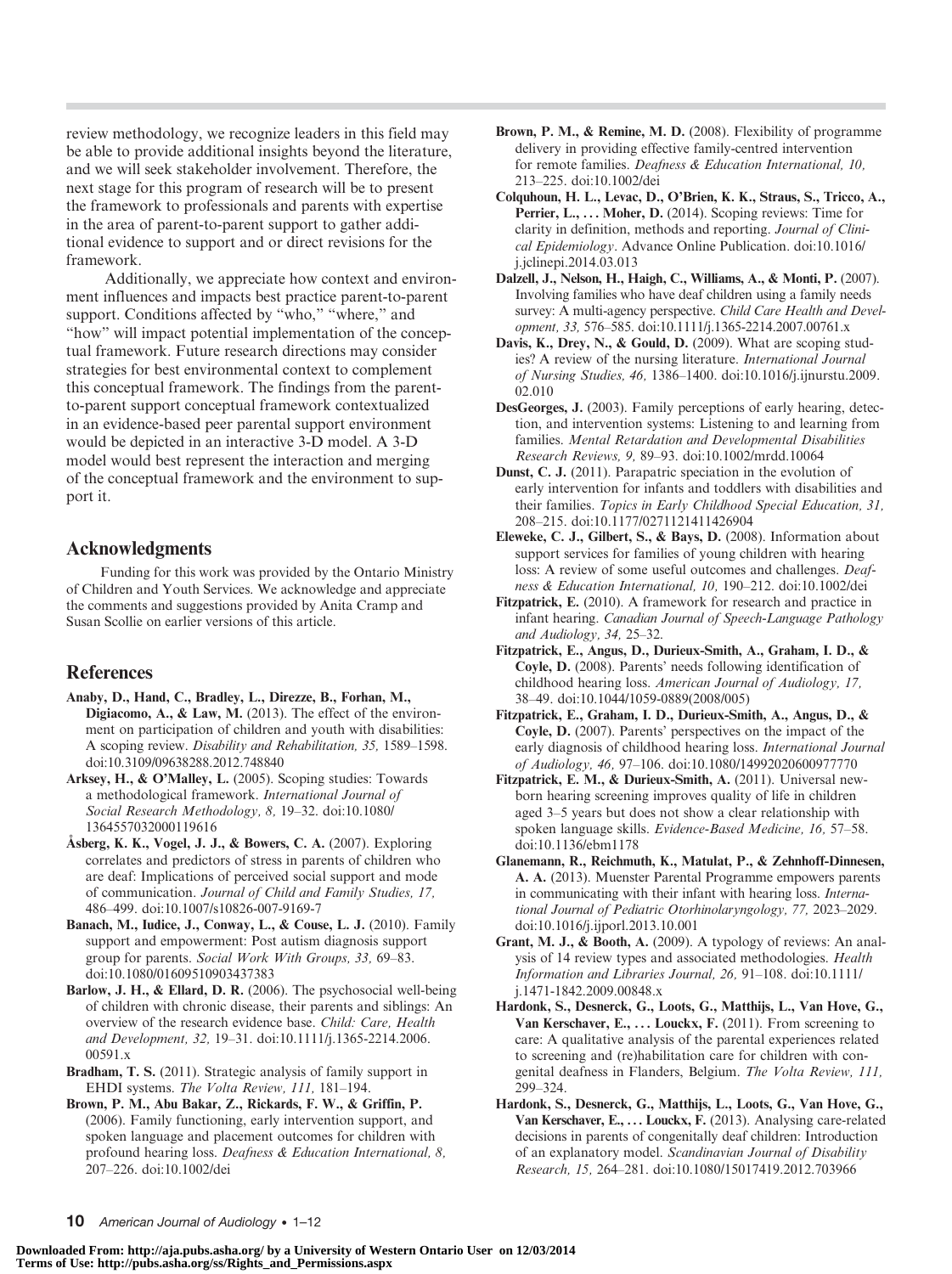review methodology, we recognize leaders in this field may be able to provide additional insights beyond the literature, and we will seek stakeholder involvement. Therefore, the next stage for this program of research will be to present the framework to professionals and parents with expertise in the area of parent-to-parent support to gather additional evidence to support and or direct revisions for the framework.

Additionally, we appreciate how context and environment influences and impacts best practice parent-to-parent support. Conditions affected by "who," "where," and "how" will impact potential implementation of the conceptual framework. Future research directions may consider strategies for best environmental context to complement this conceptual framework. The findings from the parentto-parent support conceptual framework contextualized in an evidence-based peer parental support environment would be depicted in an interactive 3-D model. A 3-D model would best represent the interaction and merging of the conceptual framework and the environment to support it.

## Acknowledgments

Funding for this work was provided by the Ontario Ministry of Children and Youth Services. We acknowledge and appreciate the comments and suggestions provided by Anita Cramp and Susan Scollie on earlier versions of this article.

## References

- Anaby, D., Hand, C., Bradley, L., Direzze, B., Forhan, M., Digiacomo, A., & Law, M. (2013). The effect of the environment on participation of children and youth with disabilities: A scoping review. Disability and Rehabilitation, 35, 1589–1598. doi:10.3109/09638288.2012.748840
- Arksey, H., & O'Malley, L. (2005). Scoping studies: Towards a methodological framework. International Journal of Social Research Methodology, 8, 19–32. doi:10.1080/ 1364557032000119616
- Åsberg, K. K., Vogel, J. J., & Bowers, C. A. (2007). Exploring correlates and predictors of stress in parents of children who are deaf: Implications of perceived social support and mode of communication. Journal of Child and Family Studies, 17, 486–499. doi:10.1007/s10826-007-9169-7
- Banach, M., Iudice, J., Conway, L., & Couse, L. J. (2010). Family support and empowerment: Post autism diagnosis support group for parents. Social Work With Groups, 33, 69–83. doi:10.1080/01609510903437383
- Barlow, J. H., & Ellard, D. R. (2006). The psychosocial well-being of children with chronic disease, their parents and siblings: An overview of the research evidence base. Child: Care, Health and Development, 32, 19–31. doi:10.1111/j.1365-2214.2006. 00591.x
- Bradham, T. S. (2011). Strategic analysis of family support in EHDI systems. The Volta Review, 111, 181–194.
- Brown, P. M., Abu Bakar, Z., Rickards, F. W., & Griffin, P. (2006). Family functioning, early intervention support, and spoken language and placement outcomes for children with profound hearing loss. Deafness & Education International, 8, 207–226. doi:10.1002/dei
- Brown, P. M., & Remine, M. D. (2008). Flexibility of programme delivery in providing effective family-centred intervention for remote families. Deafness & Education International, 10, 213–225. doi:10.1002/dei
- Colquhoun, H. L., Levac, D., O'Brien, K. K., Straus, S., Tricco, A., Perrier, L., ... Moher, D. (2014). Scoping reviews: Time for clarity in definition, methods and reporting. Journal of Clinical Epidemiology. Advance Online Publication. doi:10.1016/ j.jclinepi.2014.03.013
- Dalzell, J., Nelson, H., Haigh, C., Williams, A., & Monti, P. (2007). Involving families who have deaf children using a family needs survey: A multi-agency perspective. Child Care Health and Development, 33, 576–585. doi:10.1111/j.1365-2214.2007.00761.x
- Davis, K., Drey, N., & Gould, D. (2009). What are scoping studies? A review of the nursing literature. International Journal of Nursing Studies, 46, 1386–1400. doi:10.1016/j.ijnurstu.2009. 02.010
- DesGeorges, J. (2003). Family perceptions of early hearing, detection, and intervention systems: Listening to and learning from families. Mental Retardation and Developmental Disabilities Research Reviews, 9, 89–93. doi:10.1002/mrdd.10064
- Dunst, C. J. (2011). Parapatric speciation in the evolution of early intervention for infants and toddlers with disabilities and their families. Topics in Early Childhood Special Education, 31, 208–215. doi:10.1177/0271121411426904
- Eleweke, C. J., Gilbert, S., & Bays, D. (2008). Information about support services for families of young children with hearing loss: A review of some useful outcomes and challenges. Deafness & Education International, 10, 190–212. doi:10.1002/dei
- Fitzpatrick, E. (2010). A framework for research and practice in infant hearing. Canadian Journal of Speech-Language Pathology and Audiology, 34, 25–32.
- Fitzpatrick, E., Angus, D., Durieux-Smith, A., Graham, I. D., & Coyle, D. (2008). Parents' needs following identification of childhood hearing loss. American Journal of Audiology, 17, 38–49. doi:10.1044/1059-0889(2008/005)
- Fitzpatrick, E., Graham, I. D., Durieux-Smith, A., Angus, D., & Coyle, D. (2007). Parents' perspectives on the impact of the early diagnosis of childhood hearing loss. International Journal of Audiology, 46, 97–106. doi:10.1080/14992020600977770
- Fitzpatrick, E. M., & Durieux-Smith, A. (2011). Universal newborn hearing screening improves quality of life in children aged 3–5 years but does not show a clear relationship with spoken language skills. Evidence-Based Medicine, 16, 57–58. doi:10.1136/ebm1178
- Glanemann, R., Reichmuth, K., Matulat, P., & Zehnhoff-Dinnesen, A. A. (2013). Muenster Parental Programme empowers parents in communicating with their infant with hearing loss. International Journal of Pediatric Otorhinolaryngology, 77, 2023–2029. doi:10.1016/j.ijporl.2013.10.001
- Grant, M. J., & Booth, A. (2009). A typology of reviews: An analysis of 14 review types and associated methodologies. Health Information and Libraries Journal, 26, 91–108. doi:10.1111/ j.1471-1842.2009.00848.x
- Hardonk, S., Desnerck, G., Loots, G., Matthijs, L., Van Hove, G., Van Kerschaver, E.,  $\dots$  Louckx, F. (2011). From screening to care: A qualitative analysis of the parental experiences related to screening and (re)habilitation care for children with congenital deafness in Flanders, Belgium. The Volta Review, 111, 299–324.
- Hardonk, S., Desnerck, G., Matthijs, L., Loots, G., Van Hove, G., Van Kerschaver, E., ... Louckx, F. (2013). Analysing care-related decisions in parents of congenitally deaf children: Introduction of an explanatory model. Scandinavian Journal of Disability Research, 15, 264–281. doi:10.1080/15017419.2012.703966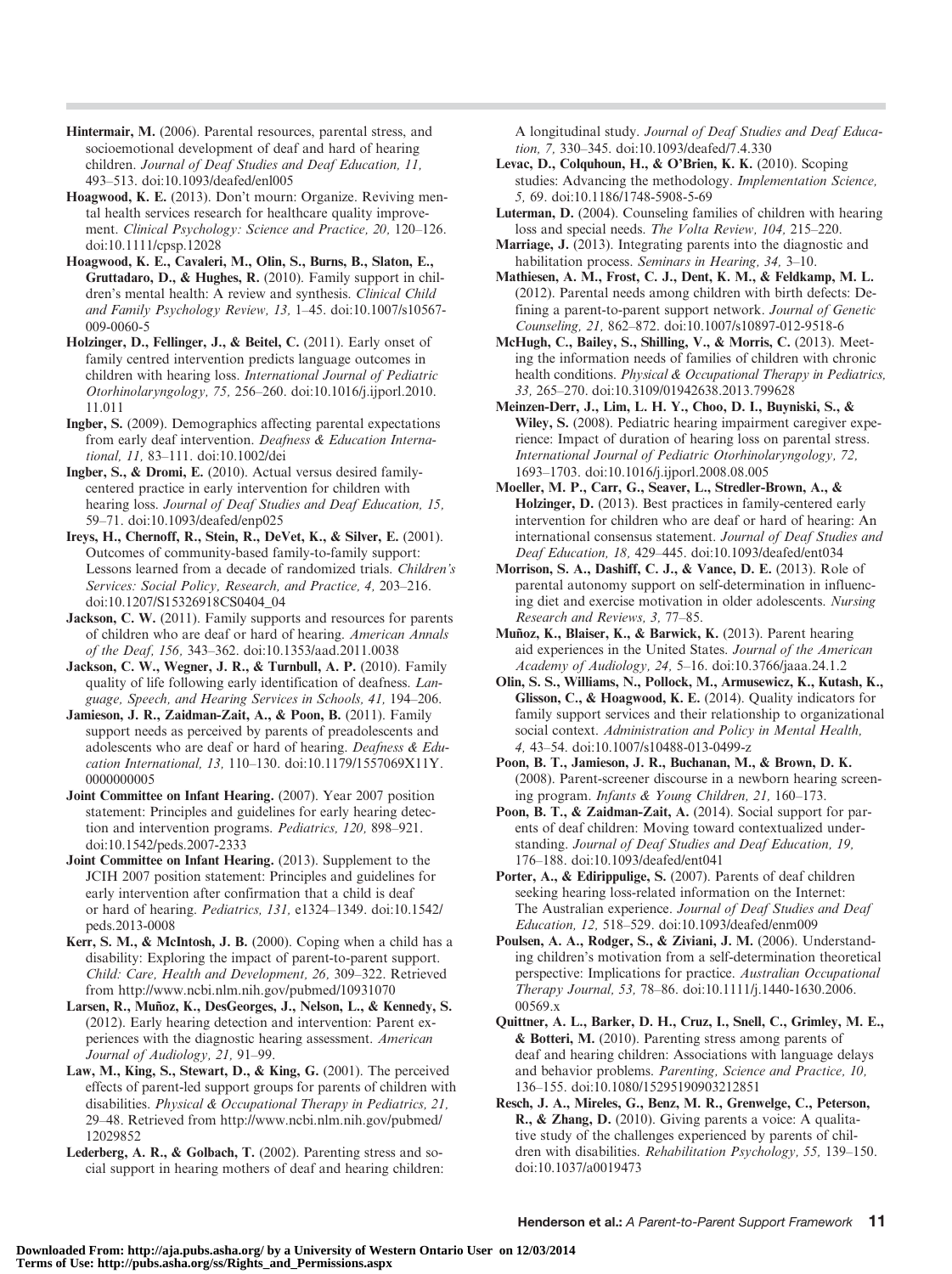- Hintermair, M. (2006). Parental resources, parental stress, and socioemotional development of deaf and hard of hearing children. Journal of Deaf Studies and Deaf Education, 11, 493–513. doi:10.1093/deafed/enl005
- Hoagwood, K. E. (2013). Don't mourn: Organize. Reviving mental health services research for healthcare quality improvement. Clinical Psychology: Science and Practice, 20, 120–126. doi:10.1111/cpsp.12028
- Hoagwood, K. E., Cavaleri, M., Olin, S., Burns, B., Slaton, E., Gruttadaro, D., & Hughes, R. (2010). Family support in children's mental health: A review and synthesis. Clinical Child and Family Psychology Review, 13, 1–45. doi:10.1007/s10567- 009-0060-5
- Holzinger, D., Fellinger, J., & Beitel, C. (2011). Early onset of family centred intervention predicts language outcomes in children with hearing loss. International Journal of Pediatric Otorhinolaryngology, 75, 256–260. doi:10.1016/j.ijporl.2010. 11.011
- Ingber, S. (2009). Demographics affecting parental expectations from early deaf intervention. Deafness & Education International, 11, 83–111. doi:10.1002/dei
- Ingber, S., & Dromi, E. (2010). Actual versus desired familycentered practice in early intervention for children with hearing loss. Journal of Deaf Studies and Deaf Education, 15, 59–71. doi:10.1093/deafed/enp025
- Ireys, H., Chernoff, R., Stein, R., DeVet, K., & Silver, E. (2001). Outcomes of community-based family-to-family support: Lessons learned from a decade of randomized trials. Children*'*s Services: Social Policy, Research, and Practice, 4, 203–216. doi:10.1207/S15326918CS0404\_04
- Jackson, C. W. (2011). Family supports and resources for parents of children who are deaf or hard of hearing. American Annals of the Deaf, 156, 343–362. doi:10.1353/aad.2011.0038
- Jackson, C. W., Wegner, J. R., & Turnbull, A. P. (2010). Family quality of life following early identification of deafness. Language, Speech, and Hearing Services in Schools, 41, 194–206.
- Jamieson, J. R., Zaidman-Zait, A., & Poon, B. (2011). Family support needs as perceived by parents of preadolescents and adolescents who are deaf or hard of hearing. Deafness & Education International, 13, 110–130. doi:10.1179/1557069X11Y. 0000000005
- Joint Committee on Infant Hearing. (2007). Year 2007 position statement: Principles and guidelines for early hearing detection and intervention programs. Pediatrics, 120, 898–921. doi:10.1542/peds.2007-2333
- Joint Committee on Infant Hearing. (2013). Supplement to the JCIH 2007 position statement: Principles and guidelines for early intervention after confirmation that a child is deaf or hard of hearing. Pediatrics, 131, e1324–1349. doi:10.1542/ peds.2013-0008
- Kerr, S. M., & McIntosh, J. B. (2000). Coping when a child has a disability: Exploring the impact of parent-to-parent support. Child: Care, Health and Development, 26, 309–322. Retrieved from http://www.ncbi.nlm.nih.gov/pubmed/10931070
- Larsen, R., Muñoz, K., DesGeorges, J., Nelson, L., & Kennedy, S. (2012). Early hearing detection and intervention: Parent experiences with the diagnostic hearing assessment. American Journal of Audiology, 21, 91–99.
- Law, M., King, S., Stewart, D., & King, G. (2001). The perceived effects of parent-led support groups for parents of children with disabilities. Physical & Occupational Therapy in Pediatrics, 21, 29–48. Retrieved from http://www.ncbi.nlm.nih.gov/pubmed/ 12029852
- Lederberg, A. R., & Golbach, T. (2002). Parenting stress and social support in hearing mothers of deaf and hearing children:

A longitudinal study. Journal of Deaf Studies and Deaf Education, 7, 330–345. doi:10.1093/deafed/7.4.330

- Levac, D., Colquhoun, H., & O'Brien, K. K. (2010). Scoping studies: Advancing the methodology. Implementation Science, 5, 69. doi:10.1186/1748-5908-5-69
- Luterman, D. (2004). Counseling families of children with hearing loss and special needs. The Volta Review, 104, 215–220.
- Marriage, J. (2013). Integrating parents into the diagnostic and habilitation process. Seminars in Hearing, 34, 3-10.
- Mathiesen, A. M., Frost, C. J., Dent, K. M., & Feldkamp, M. L. (2012). Parental needs among children with birth defects: Defining a parent-to-parent support network. Journal of Genetic Counseling, 21, 862–872. doi:10.1007/s10897-012-9518-6
- McHugh, C., Bailey, S., Shilling, V., & Morris, C. (2013). Meeting the information needs of families of children with chronic health conditions. Physical & Occupational Therapy in Pediatrics, 33, 265–270. doi:10.3109/01942638.2013.799628
- Meinzen-Derr, J., Lim, L. H. Y., Choo, D. I., Buyniski, S., & Wiley, S. (2008). Pediatric hearing impairment caregiver experience: Impact of duration of hearing loss on parental stress. International Journal of Pediatric Otorhinolaryngology, 72, 1693–1703. doi:10.1016/j.ijporl.2008.08.005
- Moeller, M. P., Carr, G., Seaver, L., Stredler-Brown, A., & Holzinger, D. (2013). Best practices in family-centered early intervention for children who are deaf or hard of hearing: An international consensus statement. Journal of Deaf Studies and Deaf Education, 18, 429–445. doi:10.1093/deafed/ent034
- Morrison, S. A., Dashiff, C. J., & Vance, D. E. (2013). Role of parental autonomy support on self-determination in influencing diet and exercise motivation in older adolescents. Nursing Research and Reviews, 3, 77–85.
- Muñoz, K., Blaiser, K., & Barwick, K. (2013). Parent hearing aid experiences in the United States. Journal of the American Academy of Audiology, 24, 5–16. doi:10.3766/jaaa.24.1.2
- Olin, S. S., Williams, N., Pollock, M., Armusewicz, K., Kutash, K., Glisson, C., & Hoagwood, K. E. (2014). Quality indicators for family support services and their relationship to organizational social context. Administration and Policy in Mental Health, 4, 43–54. doi:10.1007/s10488-013-0499-z
- Poon, B. T., Jamieson, J. R., Buchanan, M., & Brown, D. K. (2008). Parent-screener discourse in a newborn hearing screening program. Infants & Young Children, 21, 160–173.
- Poon, B. T., & Zaidman-Zait, A. (2014). Social support for parents of deaf children: Moving toward contextualized understanding. Journal of Deaf Studies and Deaf Education, 19, 176–188. doi:10.1093/deafed/ent041
- Porter, A., & Edirippulige, S. (2007). Parents of deaf children seeking hearing loss-related information on the Internet: The Australian experience. Journal of Deaf Studies and Deaf Education, 12, 518–529. doi:10.1093/deafed/enm009
- Poulsen, A. A., Rodger, S., & Ziviani, J. M. (2006). Understanding children's motivation from a self-determination theoretical perspective: Implications for practice. Australian Occupational Therapy Journal, 53, 78–86. doi:10.1111/j.1440-1630.2006. 00569.x
- Quittner, A. L., Barker, D. H., Cruz, I., Snell, C., Grimley, M. E., & Botteri, M. (2010). Parenting stress among parents of deaf and hearing children: Associations with language delays and behavior problems. Parenting, Science and Practice, 10, 136–155. doi:10.1080/15295190903212851
- Resch, J. A., Mireles, G., Benz, M. R., Grenwelge, C., Peterson, R., & Zhang, D. (2010). Giving parents a voice: A qualitative study of the challenges experienced by parents of children with disabilities. Rehabilitation Psychology, 55, 139–150. doi:10.1037/a0019473